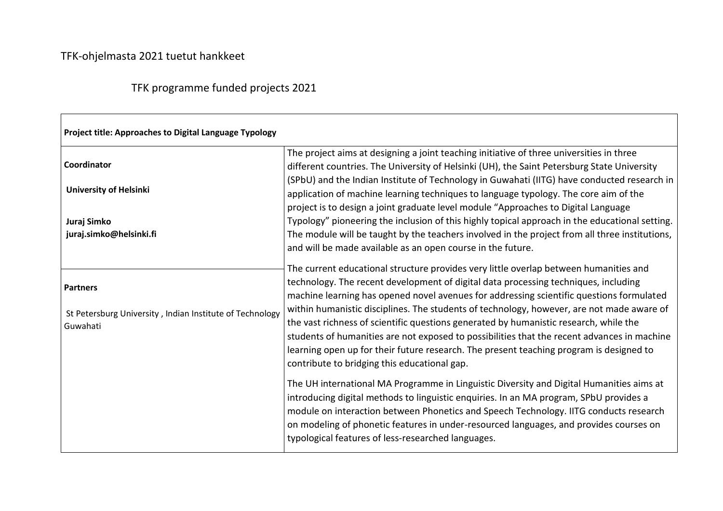## TFK-ohjelmasta 2021 tuetut hankkeet

## TFK programme funded projects 2021

| Project title: Approaches to Digital Language Typology               |                                                                                                                                                                                                                                                                                                                                                                                                                                                                                                                          |  |
|----------------------------------------------------------------------|--------------------------------------------------------------------------------------------------------------------------------------------------------------------------------------------------------------------------------------------------------------------------------------------------------------------------------------------------------------------------------------------------------------------------------------------------------------------------------------------------------------------------|--|
| Coordinator                                                          | The project aims at designing a joint teaching initiative of three universities in three<br>different countries. The University of Helsinki (UH), the Saint Petersburg State University                                                                                                                                                                                                                                                                                                                                  |  |
| <b>University of Helsinki</b>                                        | (SPbU) and the Indian Institute of Technology in Guwahati (IITG) have conducted research in<br>application of machine learning techniques to language typology. The core aim of the                                                                                                                                                                                                                                                                                                                                      |  |
| Juraj Simko                                                          | project is to design a joint graduate level module "Approaches to Digital Language<br>Typology" pioneering the inclusion of this highly topical approach in the educational setting.                                                                                                                                                                                                                                                                                                                                     |  |
| juraj.simko@helsinki.fi                                              | The module will be taught by the teachers involved in the project from all three institutions,<br>and will be made available as an open course in the future.                                                                                                                                                                                                                                                                                                                                                            |  |
| <b>Partners</b>                                                      | The current educational structure provides very little overlap between humanities and<br>technology. The recent development of digital data processing techniques, including                                                                                                                                                                                                                                                                                                                                             |  |
| St Petersburg University, Indian Institute of Technology<br>Guwahati | machine learning has opened novel avenues for addressing scientific questions formulated<br>within humanistic disciplines. The students of technology, however, are not made aware of<br>the vast richness of scientific questions generated by humanistic research, while the<br>students of humanities are not exposed to possibilities that the recent advances in machine<br>learning open up for their future research. The present teaching program is designed to<br>contribute to bridging this educational gap. |  |
|                                                                      | The UH international MA Programme in Linguistic Diversity and Digital Humanities aims at<br>introducing digital methods to linguistic enquiries. In an MA program, SPbU provides a<br>module on interaction between Phonetics and Speech Technology. IITG conducts research<br>on modeling of phonetic features in under-resourced languages, and provides courses on<br>typological features of less-researched languages.                                                                                              |  |